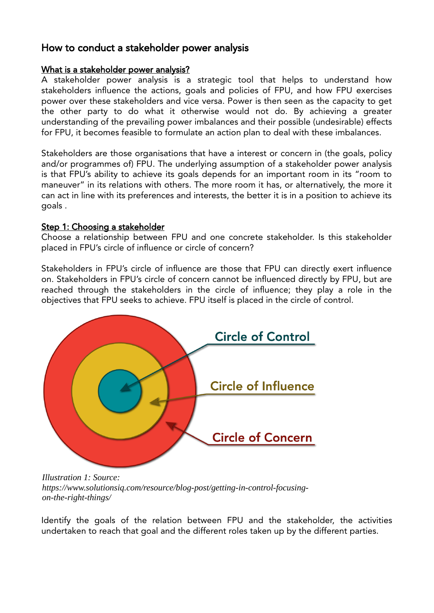# How to conduct a stakeholder power analysis

#### What is a stakeholder power analysis?

A stakeholder power analysis is a strategic tool that helps to understand how stakeholders influence the actions, goals and policies of FPU, and how FPU exercises power over these stakeholders and vice versa. Power is then seen as the capacity to get the other party to do what it otherwise would not do. By achieving a greater understanding of the prevailing power imbalances and their possible (undesirable) effects for FPU, it becomes feasible to formulate an action plan to deal with these imbalances.

Stakeholders are those organisations that have a interest or concern in (the goals, policy and/or programmes of) FPU. The underlying assumption of a stakeholder power analysis is that FPU's ability to achieve its goals depends for an important room in its "room to maneuver" in its relations with others. The more room it has, or alternatively, the more it can act in line with its preferences and interests, the better it is in a position to achieve its goals .

#### Step 1: Choosing a stakeholder

Choose a relationship between FPU and one concrete stakeholder. Is this stakeholder placed in FPU's circle of influence or circle of concern?

Stakeholders in FPU's circle of influence are those that FPU can directly exert influence on. Stakeholders in FPU's circle of concern cannot be influenced directly by FPU, but are reached through the stakeholders in the circle of influence; they play a role in the objectives that FPU seeks to achieve. FPU itself is placed in the circle of control.



*Illustration 1: Source: https://www.solutionsiq.com/resource/blog-post/getting-in-control-focusingon-the-right-things/*

Identify the goals of the relation between FPU and the stakeholder, the activities undertaken to reach that goal and the different roles taken up by the different parties.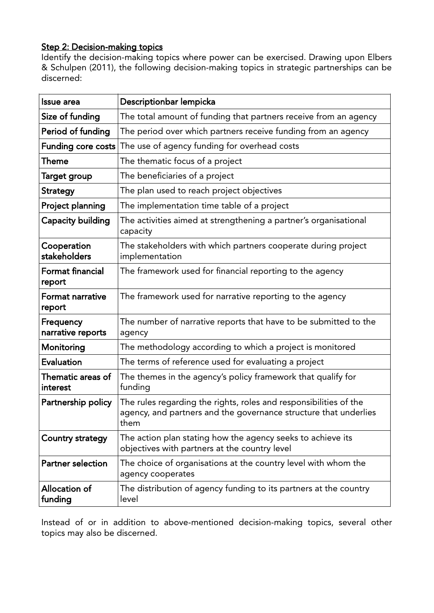## Step 2: Decision-making topics

Identify the decision-making topics where power can be exercised. Drawing upon Elbers & Schulpen (2011), the following decision-making topics in strategic partnerships can be discerned:

| <b>Issue area</b>                 | Descriptionbar lempicka                                                                                                                       |  |  |
|-----------------------------------|-----------------------------------------------------------------------------------------------------------------------------------------------|--|--|
| Size of funding                   | The total amount of funding that partners receive from an agency                                                                              |  |  |
| Period of funding                 | The period over which partners receive funding from an agency                                                                                 |  |  |
| <b>Funding core costs</b>         | The use of agency funding for overhead costs                                                                                                  |  |  |
| Theme                             | The thematic focus of a project                                                                                                               |  |  |
| Target group                      | The beneficiaries of a project                                                                                                                |  |  |
| <b>Strategy</b>                   | The plan used to reach project objectives                                                                                                     |  |  |
| Project planning                  | The implementation time table of a project                                                                                                    |  |  |
| <b>Capacity building</b>          | The activities aimed at strengthening a partner's organisational<br>capacity                                                                  |  |  |
| Cooperation<br>stakeholders       | The stakeholders with which partners cooperate during project<br>implementation                                                               |  |  |
| <b>Format financial</b><br>report | The framework used for financial reporting to the agency                                                                                      |  |  |
| <b>Format narrative</b><br>report | The framework used for narrative reporting to the agency                                                                                      |  |  |
| Frequency<br>narrative reports    | The number of narrative reports that have to be submitted to the<br>agency                                                                    |  |  |
| Monitoring                        | The methodology according to which a project is monitored                                                                                     |  |  |
| Evaluation                        | The terms of reference used for evaluating a project                                                                                          |  |  |
| Thematic areas of<br>interest     | The themes in the agency's policy framework that qualify for<br>funding                                                                       |  |  |
| Partnership policy                | The rules regarding the rights, roles and responsibilities of the<br>agency, and partners and the governance structure that underlies<br>them |  |  |
| Country strategy                  | The action plan stating how the agency seeks to achieve its<br>objectives with partners at the country level                                  |  |  |
| <b>Partner selection</b>          | The choice of organisations at the country level with whom the<br>agency cooperates                                                           |  |  |
| Allocation of<br>funding          | The distribution of agency funding to its partners at the country<br>level                                                                    |  |  |

Instead of or in addition to above-mentioned decision-making topics, several other topics may also be discerned.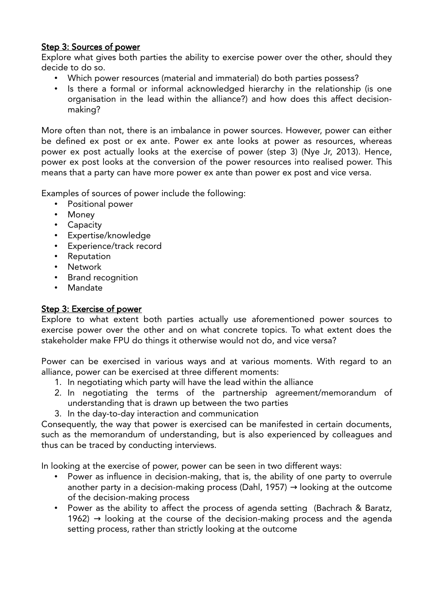## Step 3: Sources of power

Explore what gives both parties the ability to exercise power over the other, should they decide to do so.

- Which power resources (material and immaterial) do both parties possess?
- Is there a formal or informal acknowledged hierarchy in the relationship (is one organisation in the lead within the alliance?) and how does this affect decisionmaking?

More often than not, there is an imbalance in power sources. However, power can either be defined ex post or ex ante. Power ex ante looks at power as resources, whereas power ex post actually looks at the exercise of power (step 3) (Nye Jr, 2013). Hence, power ex post looks at the conversion of the power resources into realised power. This means that a party can have more power ex ante than power ex post and vice versa.

Examples of sources of power include the following:

- Positional power
- Money
- Capacity
- Expertise/knowledge
- Experience/track record
- Reputation
- Network
- Brand recognition
- Mandate

### Step 3: Exercise of power

Explore to what extent both parties actually use aforementioned power sources to exercise power over the other and on what concrete topics. To what extent does the stakeholder make FPU do things it otherwise would not do, and vice versa?

Power can be exercised in various ways and at various moments. With regard to an alliance, power can be exercised at three different moments:

- 1. In negotiating which party will have the lead within the alliance
- 2. In negotiating the terms of the partnership agreement/memorandum of understanding that is drawn up between the two parties
- 3. In the day-to-day interaction and communication

Consequently, the way that power is exercised can be manifested in certain documents, such as the memorandum of understanding, but is also experienced by colleagues and thus can be traced by conducting interviews.

In looking at the exercise of power, power can be seen in two different ways:

- Power as influence in decision-making, that is, the ability of one party to overrule another party in a decision-making process (Dahl, 1957)  $\rightarrow$  looking at the outcome of the decision-making process
- Power as the ability to affect the process of agenda setting (Bachrach & Baratz, 1962)  $\rightarrow$  looking at the course of the decision-making process and the agenda setting process, rather than strictly looking at the outcome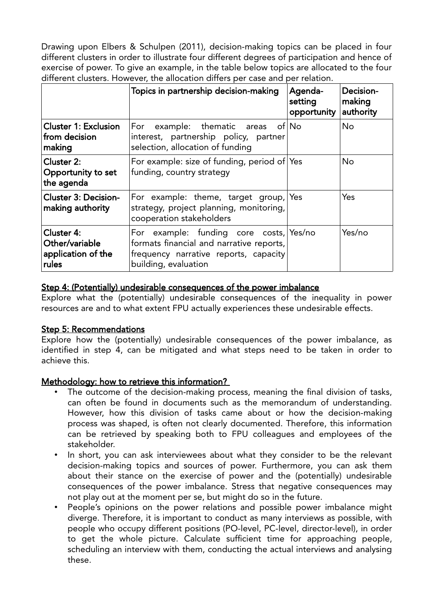Drawing upon Elbers & Schulpen (2011), decision-making topics can be placed in four different clusters in order to illustrate four different degrees of participation and hence of exercise of power. To give an example, in the table below topics are allocated to the four different clusters. However, the allocation differs per case and per relation.

|                                                             | Topics in partnership decision-making                                                                                                                | Agenda-<br>setting<br>opportunity | Decision-<br>making<br>authority |
|-------------------------------------------------------------|------------------------------------------------------------------------------------------------------------------------------------------------------|-----------------------------------|----------------------------------|
| <b>Cluster 1: Exclusion</b><br>from decision<br>making      | For example: thematic areas of $\overline{N}$ o<br>interest, partnership policy, partner<br>selection, allocation of funding                         |                                   | <b>No</b>                        |
| Cluster 2:<br>Opportunity to set<br>the agenda              | For example: size of funding, period of Yes<br>funding, country strategy                                                                             |                                   | <b>No</b>                        |
| <b>Cluster 3: Decision-</b><br>making authority             | For example: theme, target group, Yes<br>strategy, project planning, monitoring,<br>cooperation stakeholders                                         |                                   | Yes                              |
| Cluster 4:<br>Other/variable<br>application of the<br>rules | For example: funding core costs, Yes/no<br>formats financial and narrative reports,<br>frequency narrative reports, capacity<br>building, evaluation |                                   | Yes/no                           |

#### Step 4: (Potentially) undesirable consequences of the power imbalance

Explore what the (potentially) undesirable consequences of the inequality in power resources are and to what extent FPU actually experiences these undesirable effects.

#### Step 5: Recommendations

Explore how the (potentially) undesirable consequences of the power imbalance, as identified in step 4, can be mitigated and what steps need to be taken in order to achieve this.

## Methodology: how to retrieve this information?

- The outcome of the decision-making process, meaning the final division of tasks, can often be found in documents such as the memorandum of understanding. However, how this division of tasks came about or how the decision-making process was shaped, is often not clearly documented. Therefore, this information can be retrieved by speaking both to FPU colleagues and employees of the stakeholder.
- In short, you can ask interviewees about what they consider to be the relevant decision-making topics and sources of power. Furthermore, you can ask them about their stance on the exercise of power and the (potentially) undesirable consequences of the power imbalance. Stress that negative consequences may not play out at the moment per se, but might do so in the future.
- People's opinions on the power relations and possible power imbalance might diverge. Therefore, it is important to conduct as many interviews as possible, with people who occupy different positions (PO-level, PC-level, director-level), in order to get the whole picture. Calculate sufficient time for approaching people, scheduling an interview with them, conducting the actual interviews and analysing these.